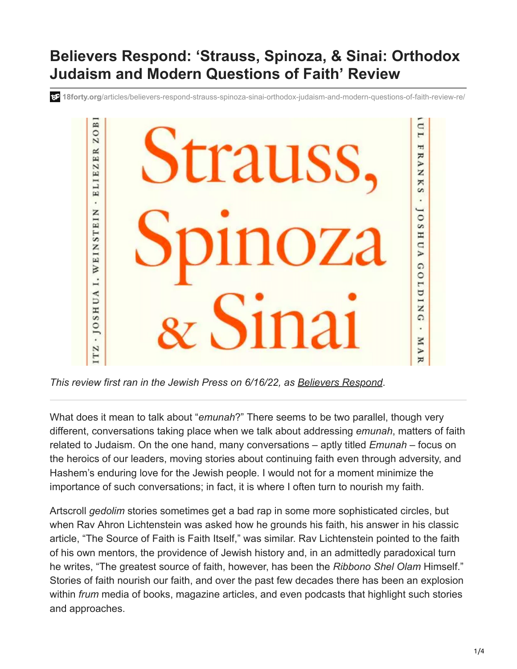## **Believers Respond: 'Strauss, Spinoza, & Sinai: Orthodox Judaism and Modern Questions of Faith' Review**

**18forty.org**[/articles/believers-respond-strauss-spinoza-sinai-orthodox-judaism-and-modern-questions-of-faith-review-re/](https://18forty.org/articles/believers-respond-strauss-spinoza-sinai-orthodox-judaism-and-modern-questions-of-faith-review-re/)



*This review first ran in the Jewish Press on 6/16/22, as [Believers Respond](https://www.jewishpress.com/sections/books/book-reviews/believers-respond/2022/06/16/)*.

What does it mean to talk about "*emunah*?" There seems to be two parallel, though very different, conversations taking place when we talk about addressing *emunah*, matters of faith related to Judaism. On the one hand, many conversations – aptly titled *Emunah* – focus on the heroics of our leaders, moving stories about continuing faith even through adversity, and Hashem's enduring love for the Jewish people. I would not for a moment minimize the importance of such conversations; in fact, it is where I often turn to nourish my faith.

Artscroll *gedolim* stories sometimes get a bad rap in some more sophisticated circles, but when Rav Ahron Lichtenstein was asked how he grounds his faith, his answer in his classic article, "The Source of Faith is Faith Itself," was similar. Rav Lichtenstein pointed to the faith of his own mentors, the providence of Jewish history and, in an admittedly paradoxical turn he writes, "The greatest source of faith, however, has been the *Ribbono Shel Olam* Himself." Stories of faith nourish our faith, and over the past few decades there has been an explosion within *frum* media of books, magazine articles, and even podcasts that highlight such stories and approaches.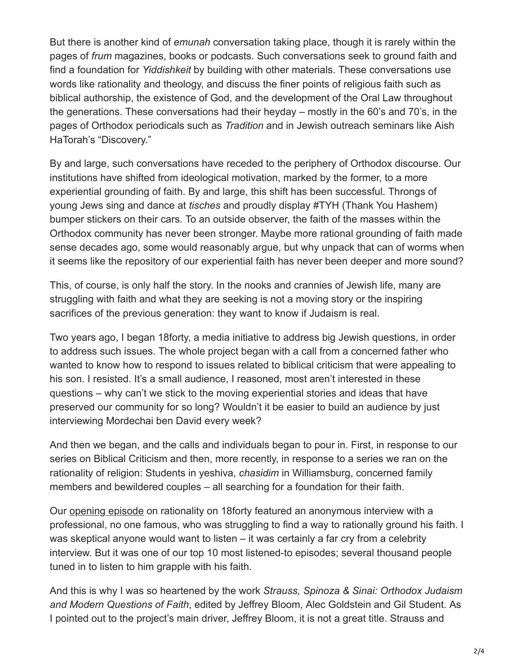But there is another kind of *emunah* conversation taking place, though it is rarely within the pages of *frum* magazines, books or podcasts. Such conversations seek to ground faith and find a foundation for *Yiddishkeit* by building with other materials. These conversations use words like rationality and theology, and discuss the finer points of religious faith such as biblical authorship, the existence of God, and the development of the Oral Law throughout the generations. These conversations had their heyday – mostly in the 60's and 70's, in the pages of Orthodox periodicals such as *Tradition* and in Jewish outreach seminars like Aish HaTorah's "Discovery."

By and large, such conversations have receded to the periphery of Orthodox discourse. Our institutions have shifted from ideological motivation, marked by the former, to a more experiential grounding of faith. By and large, this shift has been successful. Throngs of young Jews sing and dance at *tisches* and proudly display #TYH (Thank You Hashem) bumper stickers on their cars. To an outside observer, the faith of the masses within the Orthodox community has never been stronger. Maybe more rational grounding of faith made sense decades ago, some would reasonably argue, but why unpack that can of worms when it seems like the repository of our experiential faith has never been deeper and more sound?

This, of course, is only half the story. In the nooks and crannies of Jewish life, many are struggling with faith and what they are seeking is not a moving story or the inspiring sacrifices of the previous generation: they want to know if Judaism is real.

Two years ago, I began 18forty, a media initiative to address big Jewish questions, in order to address such issues. The whole project began with a call from a concerned father who wanted to know how to respond to issues related to biblical criticism that were appealing to his son. I resisted. It's a small audience, I reasoned, most aren't interested in these questions – why can't we stick to the moving experiential stories and ideas that have preserved our community for so long? Wouldn't it be easier to build an audience by just interviewing Mordechai ben David every week?

And then we began, and the calls and individuals began to pour in. First, in response to our series on Biblical Criticism and then, more recently, in response to a series we ran on the rationality of religion: Students in yeshiva, *chasidim* in Williamsburg, concerned family members and bewildered couples – all searching for a foundation for their faith.

Our [opening episode](https://18forty.org/podcast/anxiety-and-rationality-a-personal-anonymous-account/) on rationality on 18forty featured an anonymous interview with a professional, no one famous, who was struggling to find a way to rationally ground his faith. I was skeptical anyone would want to listen – it was certainly a far cry from a celebrity interview. But it was one of our top 10 most listened-to episodes; several thousand people tuned in to listen to him grapple with his faith.

And this is why I was so heartened by the work *Strauss, Spinoza & Sinai: Orthodox Judaism and Modern Questions of Faith*, edited by Jeffrey Bloom, Alec Goldstein and Gil Student. As I pointed out to the project's main driver, Jeffrey Bloom, it is not a great title. Strauss and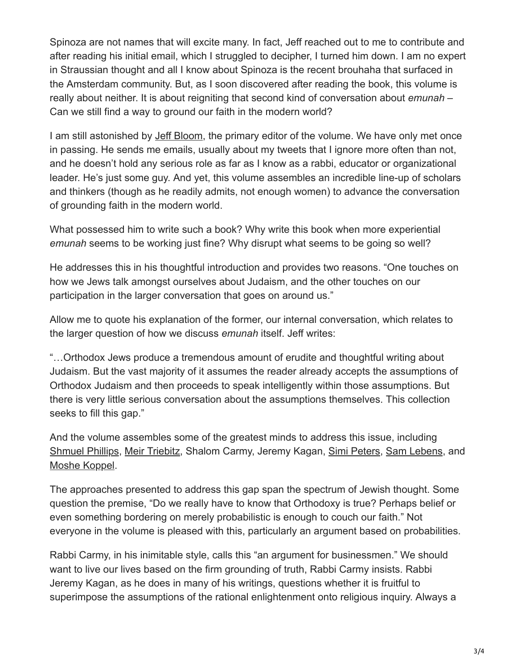Spinoza are not names that will excite many. In fact, Jeff reached out to me to contribute and after reading his initial email, which I struggled to decipher, I turned him down. I am no expert in Straussian thought and all I know about Spinoza is the recent brouhaha that surfaced in the Amsterdam community. But, as I soon discovered after reading the book, this volume is really about neither. It is about reigniting that second kind of conversation about *emunah* – Can we still find a way to ground our faith in the modern world?

I am still astonished by [Jeff Bloom](https://18forty.org/podcast/jeff-bloom-some-guy-wrote-a-book-about-jewish-theology/), the primary editor of the volume. We have only met once in passing. He sends me emails, usually about my tweets that I ignore more often than not, and he doesn't hold any serious role as far as I know as a rabbi, educator or organizational leader. He's just some guy. And yet, this volume assembles an incredible line-up of scholars and thinkers (though as he readily admits, not enough women) to advance the conversation of grounding faith in the modern world.

What possessed him to write such a book? Why write this book when more experiential *emunah* seems to be working just fine? Why disrupt what seems to be going so well?

He addresses this in his thoughtful introduction and provides two reasons. "One touches on how we Jews talk amongst ourselves about Judaism, and the other touches on our participation in the larger conversation that goes on around us."

Allow me to quote his explanation of the former, our internal conversation, which relates to the larger question of how we discuss *emunah* itself. Jeff writes:

"…Orthodox Jews produce a tremendous amount of erudite and thoughtful writing about Judaism. But the vast majority of it assumes the reader already accepts the assumptions of Orthodox Judaism and then proceeds to speak intelligently within those assumptions. But there is very little serious conversation about the assumptions themselves. This collection seeks to fill this gap."

And the volume assembles some of the greatest minds to address this issue, including [Shmuel Phillips,](https://18forty.org/podcast/shmuel-phillips-reclaiming-judaism/?utm_source=mailchimp&utm_medium=email&utm_campaign=rationality&utm_content=phillips&utm_source=18Forty&utm_campaign=30fee0fcd1-EMAIL_CAMPAIGN_5_12_2020_Bergmann_COPY_01&utm_medium=email&utm_term=0_6d1b1243f8-30fee0fcd1-410082117) [Meir Triebitz](https://18forty.org/podcast/rabbi-meir-triebitz/), Shalom Carmy, Jeremy Kagan, [Simi Peters,](https://18forty.org/podcast/simi-peters-building-new-faith-foundations/) [Sam Lebens](https://18forty.org/podcast/samuel-lebens-the-line-between-rationality-and-mysticism/), and [Moshe Koppel.](https://18forty.org/podcast/dr-moshe-koppel-halacha-as-a-language/)

The approaches presented to address this gap span the spectrum of Jewish thought. Some question the premise, "Do we really have to know that Orthodoxy is true? Perhaps belief or even something bordering on merely probabilistic is enough to couch our faith." Not everyone in the volume is pleased with this, particularly an argument based on probabilities.

Rabbi Carmy, in his inimitable style, calls this "an argument for businessmen." We should want to live our lives based on the firm grounding of truth, Rabbi Carmy insists. Rabbi Jeremy Kagan, as he does in many of his writings, questions whether it is fruitful to superimpose the assumptions of the rational enlightenment onto religious inquiry. Always a